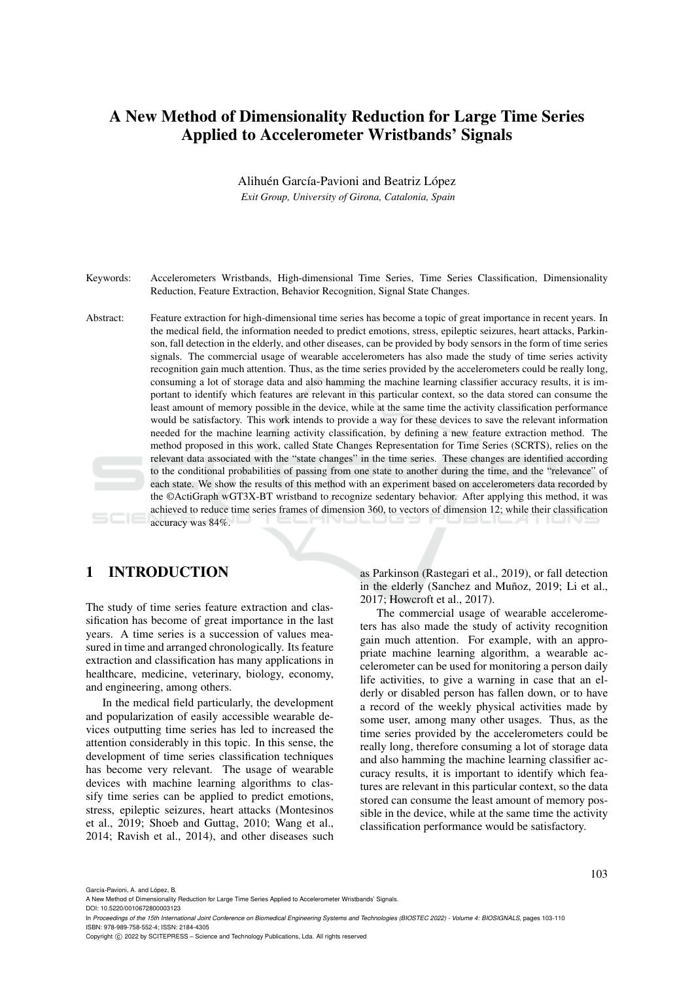# A New Method of Dimensionality Reduction for Large Time Series Applied to Accelerometer Wristbands' Signals

Alihuén García-Pavioni and Beatriz López *Exit Group, University of Girona, Catalonia, Spain*

- Keywords: Accelerometers Wristbands, High-dimensional Time Series, Time Series Classification, Dimensionality Reduction, Feature Extraction, Behavior Recognition, Signal State Changes.
- Abstract: Feature extraction for high-dimensional time series has become a topic of great importance in recent years. In the medical field, the information needed to predict emotions, stress, epileptic seizures, heart attacks, Parkinson, fall detection in the elderly, and other diseases, can be provided by body sensors in the form of time series signals. The commercial usage of wearable accelerometers has also made the study of time series activity recognition gain much attention. Thus, as the time series provided by the accelerometers could be really long, consuming a lot of storage data and also hamming the machine learning classifier accuracy results, it is important to identify which features are relevant in this particular context, so the data stored can consume the least amount of memory possible in the device, while at the same time the activity classification performance would be satisfactory. This work intends to provide a way for these devices to save the relevant information needed for the machine learning activity classification, by defining a new feature extraction method. The method proposed in this work, called State Changes Representation for Time Series (SCRTS), relies on the relevant data associated with the "state changes" in the time series. These changes are identified according to the conditional probabilities of passing from one state to another during the time, and the "relevance" of each state. We show the results of this method with an experiment based on accelerometers data recorded by the ©ActiGraph wGT3X-BT wristband to recognize sedentary behavior. After applying this method, it was achieved to reduce time series frames of dimension 360, to vectors of dimension 12; while their classification accuracy was 84%.

# 1 INTRODUCTION

The study of time series feature extraction and classification has become of great importance in the last years. A time series is a succession of values measured in time and arranged chronologically. Its feature extraction and classification has many applications in healthcare, medicine, veterinary, biology, economy, and engineering, among others.

In the medical field particularly, the development and popularization of easily accessible wearable devices outputting time series has led to increased the attention considerably in this topic. In this sense, the development of time series classification techniques has become very relevant. The usage of wearable devices with machine learning algorithms to classify time series can be applied to predict emotions, stress, epileptic seizures, heart attacks (Montesinos et al., 2019; Shoeb and Guttag, 2010; Wang et al., 2014; Ravish et al., 2014), and other diseases such

as Parkinson (Rastegari et al., 2019), or fall detection in the elderly (Sanchez and Muñoz, 2019; Li et al., 2017; Howcroft et al., 2017).

The commercial usage of wearable accelerometers has also made the study of activity recognition gain much attention. For example, with an appropriate machine learning algorithm, a wearable accelerometer can be used for monitoring a person daily life activities, to give a warning in case that an elderly or disabled person has fallen down, or to have a record of the weekly physical activities made by some user, among many other usages. Thus, as the time series provided by the accelerometers could be really long, therefore consuming a lot of storage data and also hamming the machine learning classifier accuracy results, it is important to identify which features are relevant in this particular context, so the data stored can consume the least amount of memory possible in the device, while at the same time the activity classification performance would be satisfactory.

DOI: 10.5220/0010672800003123

García-Pavioni, A. and López, B.

A New Method of Dimensionality Reduction for Large Time Series Applied to Accelerometer Wristbands' Signals.

In *Proceedings of the 15th International Joint Conference on Biomedical Engineering Systems and Technologies (BIOSTEC 2022) - Volume 4: BIOSIGNALS*, pages 103-110 ISBN: 978-989-758-552-4; ISSN: 2184-4305

Copyright (C) 2022 by SCITEPRESS - Science and Technology Publications, Lda. All rights reserved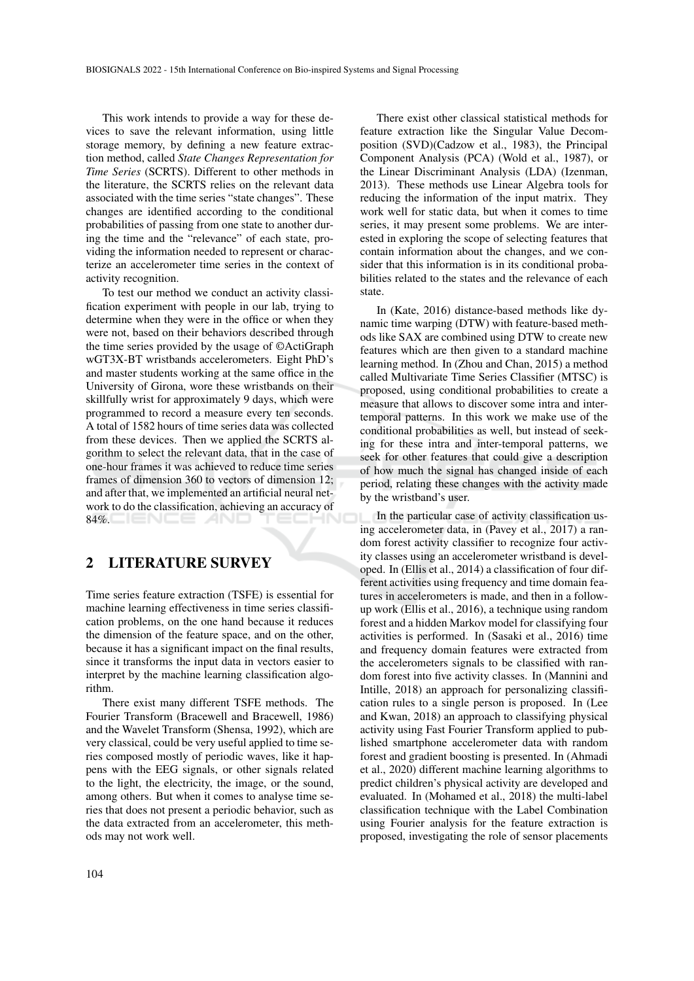This work intends to provide a way for these devices to save the relevant information, using little storage memory, by defining a new feature extraction method, called *State Changes Representation for Time Series* (SCRTS). Different to other methods in the literature, the SCRTS relies on the relevant data associated with the time series "state changes". These changes are identified according to the conditional probabilities of passing from one state to another during the time and the "relevance" of each state, providing the information needed to represent or characterize an accelerometer time series in the context of activity recognition.

To test our method we conduct an activity classification experiment with people in our lab, trying to determine when they were in the office or when they were not, based on their behaviors described through the time series provided by the usage of ©ActiGraph wGT3X-BT wristbands accelerometers. Eight PhD's and master students working at the same office in the University of Girona, wore these wristbands on their skillfully wrist for approximately 9 days, which were programmed to record a measure every ten seconds. A total of 1582 hours of time series data was collected from these devices. Then we applied the SCRTS algorithm to select the relevant data, that in the case of one-hour frames it was achieved to reduce time series frames of dimension 360 to vectors of dimension 12; and after that, we implemented an artificial neural network to do the classification, achieving an accuracy of 84%.

# 2 LITERATURE SURVEY

Time series feature extraction (TSFE) is essential for machine learning effectiveness in time series classification problems, on the one hand because it reduces the dimension of the feature space, and on the other, because it has a significant impact on the final results, since it transforms the input data in vectors easier to interpret by the machine learning classification algorithm.

There exist many different TSFE methods. The Fourier Transform (Bracewell and Bracewell, 1986) and the Wavelet Transform (Shensa, 1992), which are very classical, could be very useful applied to time series composed mostly of periodic waves, like it happens with the EEG signals, or other signals related to the light, the electricity, the image, or the sound, among others. But when it comes to analyse time series that does not present a periodic behavior, such as the data extracted from an accelerometer, this methods may not work well.

There exist other classical statistical methods for feature extraction like the Singular Value Decomposition (SVD)(Cadzow et al., 1983), the Principal Component Analysis (PCA) (Wold et al., 1987), or the Linear Discriminant Analysis (LDA) (Izenman, 2013). These methods use Linear Algebra tools for reducing the information of the input matrix. They work well for static data, but when it comes to time series, it may present some problems. We are interested in exploring the scope of selecting features that contain information about the changes, and we consider that this information is in its conditional probabilities related to the states and the relevance of each state.

In (Kate, 2016) distance-based methods like dynamic time warping (DTW) with feature-based methods like SAX are combined using DTW to create new features which are then given to a standard machine learning method. In (Zhou and Chan, 2015) a method called Multivariate Time Series Classifier (MTSC) is proposed, using conditional probabilities to create a measure that allows to discover some intra and intertemporal patterns. In this work we make use of the conditional probabilities as well, but instead of seeking for these intra and inter-temporal patterns, we seek for other features that could give a description of how much the signal has changed inside of each period, relating these changes with the activity made by the wristband's user.

In the particular case of activity classification using accelerometer data, in (Pavey et al., 2017) a random forest activity classifier to recognize four activity classes using an accelerometer wristband is developed. In (Ellis et al., 2014) a classification of four different activities using frequency and time domain features in accelerometers is made, and then in a followup work (Ellis et al., 2016), a technique using random forest and a hidden Markov model for classifying four activities is performed. In (Sasaki et al., 2016) time and frequency domain features were extracted from the accelerometers signals to be classified with random forest into five activity classes. In (Mannini and Intille, 2018) an approach for personalizing classification rules to a single person is proposed. In (Lee and Kwan, 2018) an approach to classifying physical activity using Fast Fourier Transform applied to published smartphone accelerometer data with random forest and gradient boosting is presented. In (Ahmadi et al., 2020) different machine learning algorithms to predict children's physical activity are developed and evaluated. In (Mohamed et al., 2018) the multi-label classification technique with the Label Combination using Fourier analysis for the feature extraction is proposed, investigating the role of sensor placements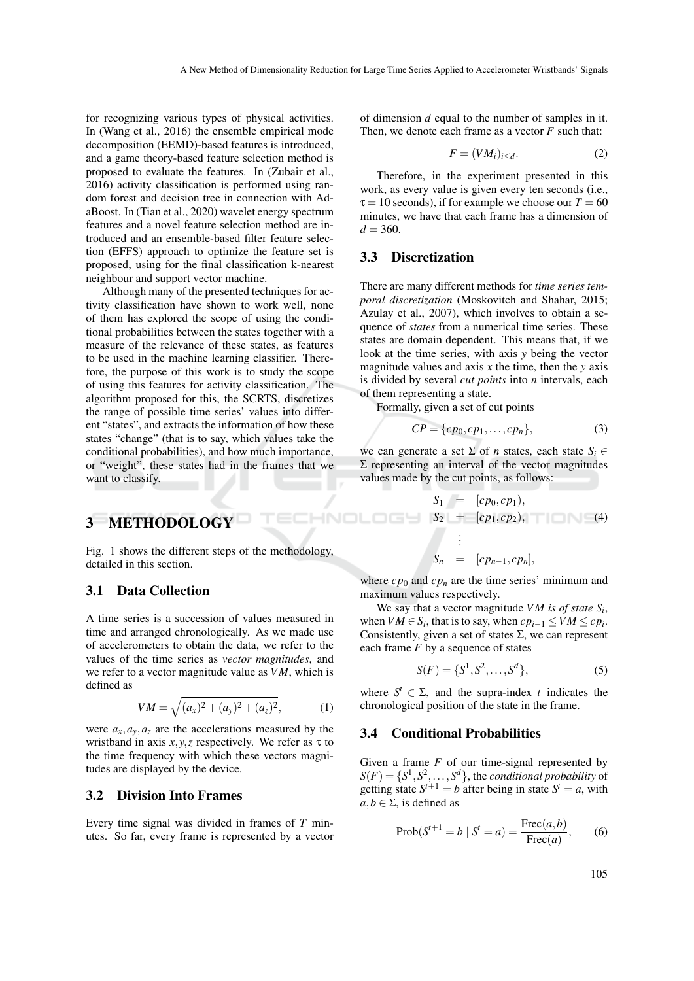for recognizing various types of physical activities. In (Wang et al., 2016) the ensemble empirical mode decomposition (EEMD)-based features is introduced, and a game theory-based feature selection method is proposed to evaluate the features. In (Zubair et al., 2016) activity classification is performed using random forest and decision tree in connection with AdaBoost. In (Tian et al., 2020) wavelet energy spectrum features and a novel feature selection method are introduced and an ensemble-based filter feature selection (EFFS) approach to optimize the feature set is proposed, using for the final classification k-nearest neighbour and support vector machine.

Although many of the presented techniques for activity classification have shown to work well, none of them has explored the scope of using the conditional probabilities between the states together with a measure of the relevance of these states, as features to be used in the machine learning classifier. Therefore, the purpose of this work is to study the scope of using this features for activity classification. The algorithm proposed for this, the SCRTS, discretizes the range of possible time series' values into different "states", and extracts the information of how these states "change" (that is to say, which values take the conditional probabilities), and how much importance, or "weight", these states had in the frames that we want to classify.

of dimension *d* equal to the number of samples in it. Then, we denote each frame as a vector *F* such that:

$$
F = (VM_i)_{i \le d}.\tag{2}
$$

Therefore, in the experiment presented in this work, as every value is given every ten seconds (i.e.,  $\tau = 10$  seconds), if for example we choose our  $T = 60$ minutes, we have that each frame has a dimension of  $d = 360.$ 

### 3.3 Discretization

There are many different methods for *time series temporal discretization* (Moskovitch and Shahar, 2015; Azulay et al., 2007), which involves to obtain a sequence of *states* from a numerical time series. These states are domain dependent. This means that, if we look at the time series, with axis *y* being the vector magnitude values and axis  $x$  the time, then the  $y$  axis is divided by several *cut points* into *n* intervals, each of them representing a state.

Formally, given a set of cut points

$$
CP = \{cp_0, cp_1, \dots, cp_n\},\tag{3}
$$

we can generate a set  $\Sigma$  of *n* states, each state  $S_i \in$ Σ representing an interval of the vector magnitudes values made by the cut points, as follows:

$$
S_1 = [cp_0, cp_1),S_2 = [cp_1, cp_2),..
$$
 (4)  
1)  
1  
1  
1  
2  
1  
2  
1  
3  
5<sub>n</sub> = [cp<sub>n-1</sub>, cp<sub>n</sub>],

where  $cp_0$  and  $cp_n$  are the time series' minimum and maximum values respectively.

We say that a vector magnitude  $VM$  is of state  $S_i$ , when  $VM \in S_i$ , that is to say, when  $cp_{i-1} \le VM \le cp_i$ . Consistently, given a set of states  $\Sigma$ , we can represent each frame *F* by a sequence of states

$$
S(F) = \{S^1, S^2, \dots, S^d\},\tag{5}
$$

where  $S^t \in \Sigma$ , and the supra-index *t* indicates the chronological position of the state in the frame.

## 3.4 Conditional Probabilities

Given a frame *F* of our time-signal represented by  $S(F) = \{S^1, S^2, \ldots, S^d\}$ , the *conditional probability* of getting state  $S^{t+1} = b$  after being in state  $S^t = a$ , with  $a, b \in \Sigma$ , is defined as

$$
Prob(S^{t+1} = b \mid S^t = a) = \frac{Frec(a, b)}{Frec(a)},
$$
 (6)

# 3 METHODOLOGY

Fig. 1 shows the different steps of the methodology, detailed in this section.

# 3.1 Data Collection

A time series is a succession of values measured in time and arranged chronologically. As we made use of accelerometers to obtain the data, we refer to the values of the time series as *vector magnitudes*, and we refer to a vector magnitude value as *VM*, which is defined as

$$
VM = \sqrt{(a_x)^2 + (a_y)^2 + (a_z)^2},
$$
 (1)

were  $a_x$ ,  $a_y$ ,  $a_z$  are the accelerations measured by the wristband in axis  $x, y, z$  respectively. We refer as  $\tau$  to the time frequency with which these vectors magnitudes are displayed by the device.

### 3.2 Division Into Frames

Every time signal was divided in frames of *T* minutes. So far, every frame is represented by a vector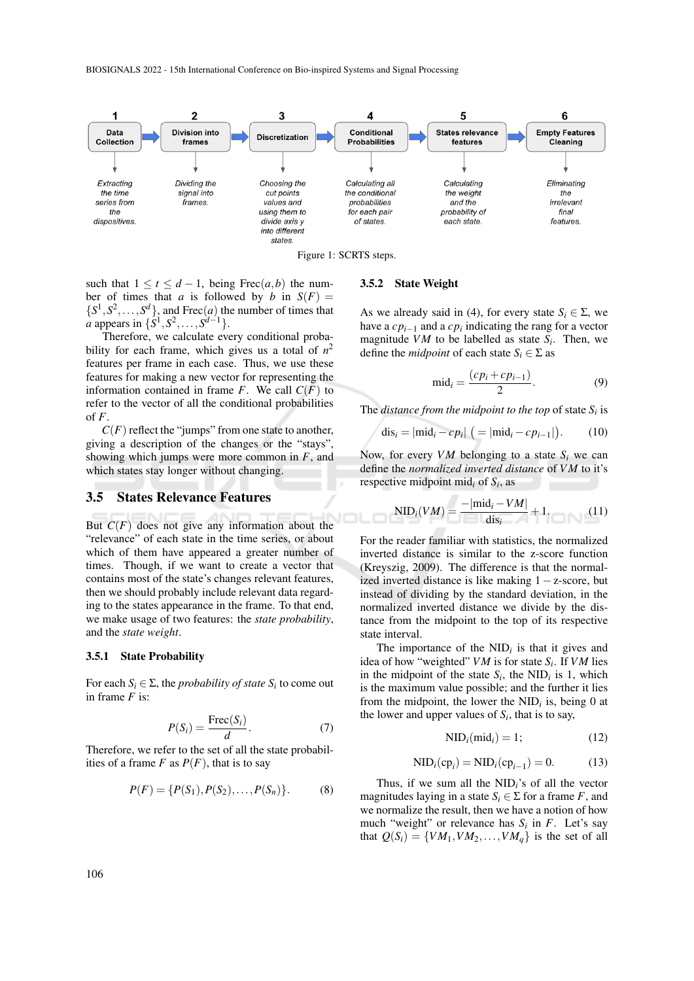BIOSIGNALS 2022 - 15th International Conference on Bio-inspired Systems and Signal Processing



Figure 1: SCRTS steps.

such that  $1 \le t \le d-1$ , being Frec $(a,b)$  the number of times that *a* is followed by *b* in  $S(F)$  =  $\{S^1, S^2, \ldots, S^d\}$ , and Frec $(a)$  the number of times that *a* appears in  $\{S^1, S^2, \ldots, S^{d-1}\}.$ 

Therefore, we calculate every conditional probability for each frame, which gives us a total of  $n^2$ features per frame in each case. Thus, we use these features for making a new vector for representing the information contained in frame *F*. We call  $C(F)$  to refer to the vector of all the conditional probabilities of *F*.

 $C(F)$  reflect the "jumps" from one state to another, giving a description of the changes or the "stays", showing which jumps were more common in *F*, and which states stay longer without changing.

### 3.5 States Relevance Features

But  $C(F)$  does not give any information about the "relevance" of each state in the time series, or about which of them have appeared a greater number of times. Though, if we want to create a vector that contains most of the state's changes relevant features, then we should probably include relevant data regarding to the states appearance in the frame. To that end, we make usage of two features: the *state probability*, and the *state weight*.

#### 3.5.1 State Probability

For each  $S_i \in \Sigma$ , the *probability of state*  $S_i$  to come out in frame *F* is:

$$
P(S_i) = \frac{\text{Free}(S_i)}{d}.
$$
 (7)

Therefore, we refer to the set of all the state probabilities of a frame  $F$  as  $P(F)$ , that is to say

$$
P(F) = \{P(S_1), P(S_2), \dots, P(S_n)\}.
$$
 (8)

#### 3.5.2 State Weight

As we already said in (4), for every state  $S_i \in \Sigma$ , we have a  $cp_{i-1}$  and a  $cp_i$  indicating the rang for a vector magnitude *VM* to be labelled as state  $S_i$ . Then, we define the *midpoint* of each state  $S_i \in \Sigma$  as

$$
\text{mid}_i = \frac{(cp_i + cp_{i-1})}{2}.
$$
\n(9)

The *distance from the midpoint to the top* of state  $S_i$  is

$$
dis_i = |mid_i - cp_i| (= |mid_i - cp_{i-1}|).
$$
 (10)

Now, for every *VM* belonging to a state *S<sup>i</sup>* we can define the *normalized inverted distance* of *VM* to it's respective midpoint mid*<sup>i</sup>* of *S<sup>i</sup>* , as

$$
NID_i(VM) = \frac{-|mid_i - VM|}{dis_i} + 1.
$$
 (11)

For the reader familiar with statistics, the normalized inverted distance is similar to the z-score function (Kreyszig, 2009). The difference is that the normalized inverted distance is like making 1−z-score, but instead of dividing by the standard deviation, in the normalized inverted distance we divide by the distance from the midpoint to the top of its respective state interval.

The importance of the  $NID_i$  is that it gives and idea of how "weighted" *VM* is for state *S<sup>i</sup>* . If *VM* lies in the midpoint of the state  $S_i$ , the NID<sub>*i*</sub> is 1, which is the maximum value possible; and the further it lies from the midpoint, the lower the  $NID_i$  is, being 0 at the lower and upper values of  $S_i$ , that is to say,

$$
NID_i(mid_i) = 1;
$$
 (12)

$$
NID_i(cp_i) = NID_i(cp_{i-1}) = 0.
$$
 (13)

Thus, if we sum all the NID*i*'s of all the vector magnitudes laying in a state  $S_i \in \Sigma$  for a frame *F*, and we normalize the result, then we have a notion of how much "weight" or relevance has  $S_i$  in  $F$ . Let's say that  $Q(S_i) = \{VM_1, VM_2, \ldots, VM_a\}$  is the set of all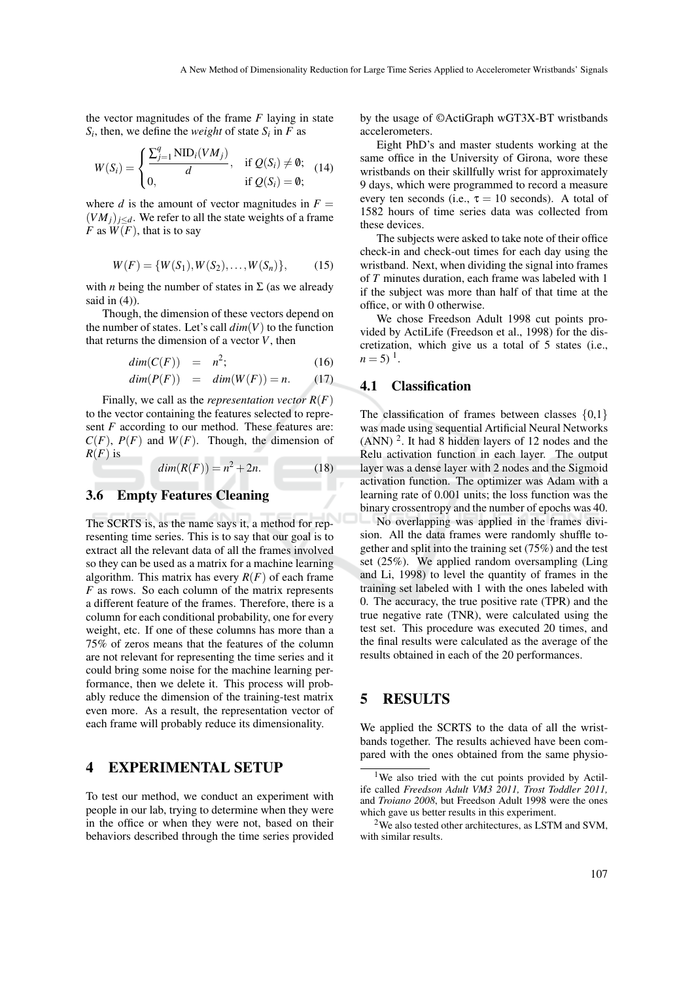the vector magnitudes of the frame *F* laying in state  $S_i$ , then, we define the *weight* of state  $S_i$  in *F* as

$$
W(S_i) = \begin{cases} \frac{\sum_{j=1}^{q} \text{NID}_i(VM_j)}{d}, & \text{if } Q(S_i) \neq \emptyset; \\ 0, & \text{if } Q(S_i) = \emptyset; \end{cases}
$$
 (14)

where *d* is the amount of vector magnitudes in  $F =$  $(VM_j)_{j \leq d}$ . We refer to all the state weights of a frame *F* as  $\overline{W(F)}$ , that is to say

$$
W(F) = \{W(S_1), W(S_2), \dots, W(S_n)\},\tag{15}
$$

with *n* being the number of states in  $\Sigma$  (as we already said in  $(4)$ ).

Though, the dimension of these vectors depend on the number of states. Let's call  $dim(V)$  to the function that returns the dimension of a vector *V*, then

$$
dim(C(F)) = n^2; \t(16)
$$

$$
dim(P(F)) = dim(W(F)) = n.
$$
 (17)

Finally, we call as the *representation vector R*(*F*) to the vector containing the features selected to represent *F* according to our method. These features are:  $C(F)$ ,  $P(F)$  and  $W(F)$ . Though, the dimension of  $R(F)$  is

 $dim(R(F)) = n^2 + 2n.$  (18)

# 3.6 Empty Features Cleaning

The SCRTS is, as the name says it, a method for representing time series. This is to say that our goal is to extract all the relevant data of all the frames involved so they can be used as a matrix for a machine learning algorithm. This matrix has every  $R(F)$  of each frame *F* as rows. So each column of the matrix represents a different feature of the frames. Therefore, there is a column for each conditional probability, one for every weight, etc. If one of these columns has more than a 75% of zeros means that the features of the column are not relevant for representing the time series and it could bring some noise for the machine learning performance, then we delete it. This process will probably reduce the dimension of the training-test matrix even more. As a result, the representation vector of each frame will probably reduce its dimensionality.

## 4 EXPERIMENTAL SETUP

To test our method, we conduct an experiment with people in our lab, trying to determine when they were in the office or when they were not, based on their behaviors described through the time series provided by the usage of ©ActiGraph wGT3X-BT wristbands accelerometers.

Eight PhD's and master students working at the same office in the University of Girona, wore these wristbands on their skillfully wrist for approximately 9 days, which were programmed to record a measure every ten seconds (i.e.,  $\tau = 10$  seconds). A total of 1582 hours of time series data was collected from these devices.

The subjects were asked to take note of their office check-in and check-out times for each day using the wristband. Next, when dividing the signal into frames of *T* minutes duration, each frame was labeled with 1 if the subject was more than half of that time at the office, or with 0 otherwise.

We chose Freedson Adult 1998 cut points provided by ActiLife (Freedson et al., 1998) for the discretization, which give us a total of 5 states (i.e.,  $n = 5$ )<sup>1</sup>.

## 4.1 Classification

The classification of frames between classes  $\{0,1\}$ was made using sequential Artificial Neural Networks  $(ANN)^2$ . It had 8 hidden layers of 12 nodes and the Relu activation function in each layer. The output layer was a dense layer with 2 nodes and the Sigmoid activation function. The optimizer was Adam with a learning rate of 0.001 units; the loss function was the binary crossentropy and the number of epochs was 40.

No overlapping was applied in the frames division. All the data frames were randomly shuffle together and split into the training set (75%) and the test set (25%). We applied random oversampling (Ling and Li, 1998) to level the quantity of frames in the training set labeled with 1 with the ones labeled with 0. The accuracy, the true positive rate (TPR) and the true negative rate (TNR), were calculated using the test set. This procedure was executed 20 times, and the final results were calculated as the average of the results obtained in each of the 20 performances.

## 5 RESULTS

We applied the SCRTS to the data of all the wristbands together. The results achieved have been compared with the ones obtained from the same physio-

<sup>&</sup>lt;sup>1</sup>We also tried with the cut points provided by Actilife called *Freedson Adult VM3 2011, Trost Toddler 2011,* and *Troiano 2008*, but Freedson Adult 1998 were the ones which gave us better results in this experiment.

<sup>2</sup>We also tested other architectures, as LSTM and SVM, with similar results.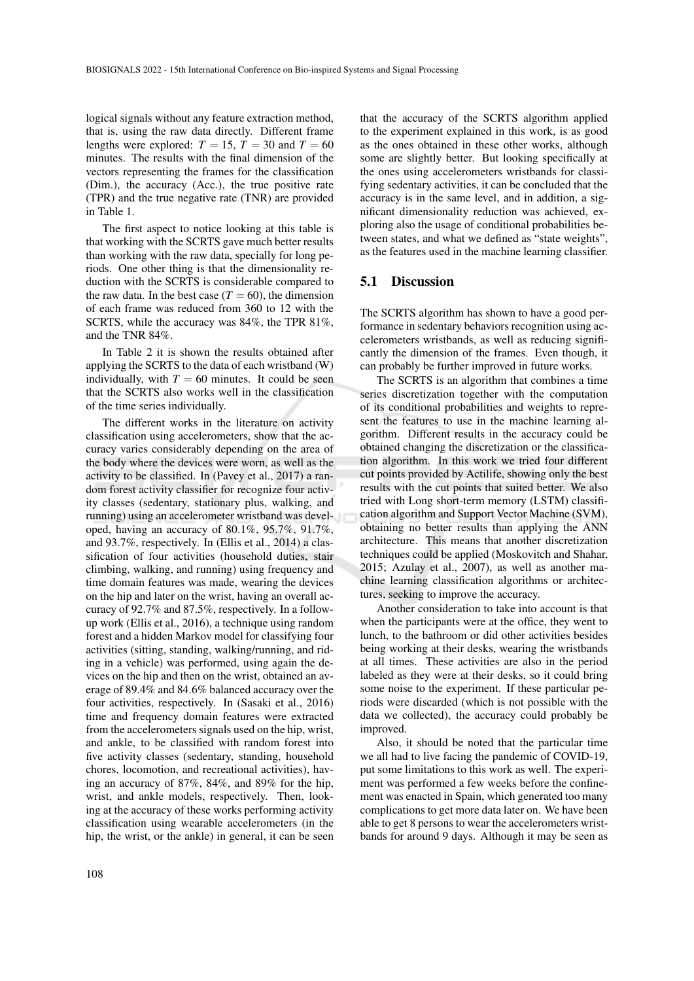logical signals without any feature extraction method, that is, using the raw data directly. Different frame lengths were explored:  $T = 15$ ,  $T = 30$  and  $T = 60$ minutes. The results with the final dimension of the vectors representing the frames for the classification (Dim.), the accuracy (Acc.), the true positive rate (TPR) and the true negative rate (TNR) are provided in Table 1.

The first aspect to notice looking at this table is that working with the SCRTS gave much better results than working with the raw data, specially for long periods. One other thing is that the dimensionality reduction with the SCRTS is considerable compared to the raw data. In the best case  $(T = 60)$ , the dimension of each frame was reduced from 360 to 12 with the SCRTS, while the accuracy was 84%, the TPR 81%, and the TNR 84%.

In Table 2 it is shown the results obtained after applying the SCRTS to the data of each wristband (W) individually, with  $T = 60$  minutes. It could be seen that the SCRTS also works well in the classification of the time series individually.

The different works in the literature on activity classification using accelerometers, show that the accuracy varies considerably depending on the area of the body where the devices were worn, as well as the activity to be classified. In (Pavey et al., 2017) a random forest activity classifier for recognize four activity classes (sedentary, stationary plus, walking, and running) using an accelerometer wristband was developed, having an accuracy of 80.1%, 95.7%, 91.7%, and 93.7%, respectively. In (Ellis et al., 2014) a classification of four activities (household duties, stair climbing, walking, and running) using frequency and time domain features was made, wearing the devices on the hip and later on the wrist, having an overall accuracy of 92.7% and 87.5%, respectively. In a followup work (Ellis et al., 2016), a technique using random forest and a hidden Markov model for classifying four activities (sitting, standing, walking/running, and riding in a vehicle) was performed, using again the devices on the hip and then on the wrist, obtained an average of 89.4% and 84.6% balanced accuracy over the four activities, respectively. In (Sasaki et al., 2016) time and frequency domain features were extracted from the accelerometers signals used on the hip, wrist, and ankle, to be classified with random forest into five activity classes (sedentary, standing, household chores, locomotion, and recreational activities), having an accuracy of 87%, 84%, and 89% for the hip, wrist, and ankle models, respectively. Then, looking at the accuracy of these works performing activity classification using wearable accelerometers (in the hip, the wrist, or the ankle) in general, it can be seen

that the accuracy of the SCRTS algorithm applied to the experiment explained in this work, is as good as the ones obtained in these other works, although some are slightly better. But looking specifically at the ones using accelerometers wristbands for classifying sedentary activities, it can be concluded that the accuracy is in the same level, and in addition, a significant dimensionality reduction was achieved, exploring also the usage of conditional probabilities between states, and what we defined as "state weights", as the features used in the machine learning classifier.

### 5.1 Discussion

The SCRTS algorithm has shown to have a good performance in sedentary behaviors recognition using accelerometers wristbands, as well as reducing significantly the dimension of the frames. Even though, it can probably be further improved in future works.

The SCRTS is an algorithm that combines a time series discretization together with the computation of its conditional probabilities and weights to represent the features to use in the machine learning algorithm. Different results in the accuracy could be obtained changing the discretization or the classification algorithm. In this work we tried four different cut points provided by Actilife, showing only the best results with the cut points that suited better. We also tried with Long short-term memory (LSTM) classification algorithm and Support Vector Machine (SVM), obtaining no better results than applying the ANN architecture. This means that another discretization techniques could be applied (Moskovitch and Shahar, 2015; Azulay et al., 2007), as well as another machine learning classification algorithms or architectures, seeking to improve the accuracy.

Another consideration to take into account is that when the participants were at the office, they went to lunch, to the bathroom or did other activities besides being working at their desks, wearing the wristbands at all times. These activities are also in the period labeled as they were at their desks, so it could bring some noise to the experiment. If these particular periods were discarded (which is not possible with the data we collected), the accuracy could probably be improved.

Also, it should be noted that the particular time we all had to live facing the pandemic of COVID-19, put some limitations to this work as well. The experiment was performed a few weeks before the confinement was enacted in Spain, which generated too many complications to get more data later on. We have been able to get 8 persons to wear the accelerometers wristbands for around 9 days. Although it may be seen as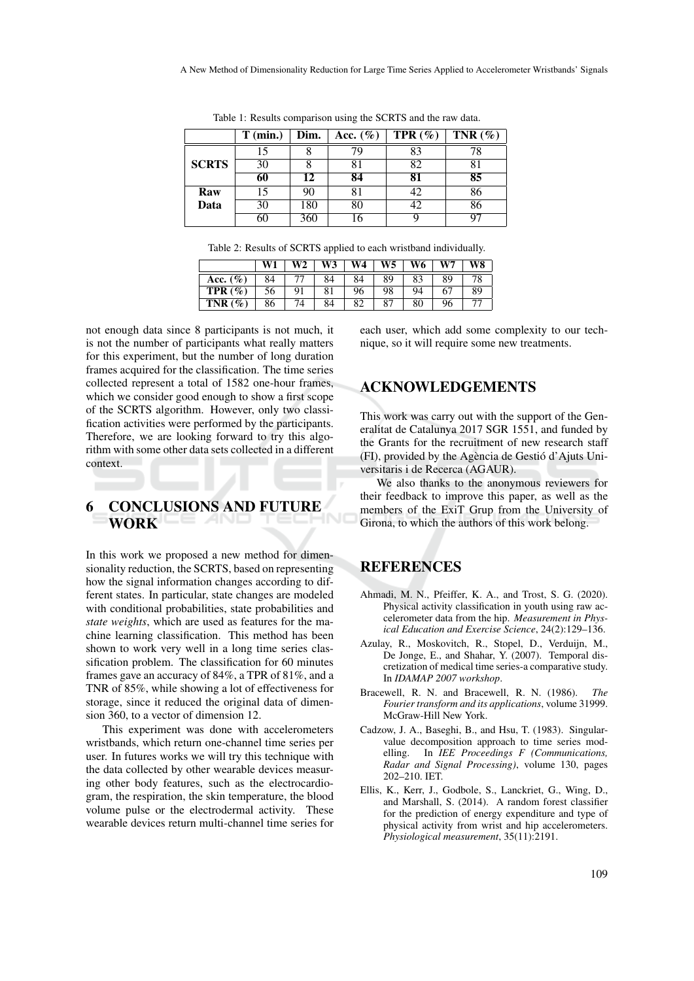|              | $T$ (min.) | Dim. | Acc. $(\%)$ | TPR $(\%)$ | TNR $(\%)$ |  |
|--------------|------------|------|-------------|------------|------------|--|
|              | 15         |      | 79          | 83         | 78         |  |
| <b>SCRTS</b> | 30         |      |             | 82         |            |  |
|              | 60         | 12   | 84          | 81         | 85         |  |
| Raw          | 15         | 90   | 81          | 42         | 86         |  |
| Data         | 30         | 180  | 80          | 42         | 86         |  |
|              | 60         | 360  | 16          |            |            |  |

Table 1: Results comparison using the SCRTS and the raw data.

| Table 2: Results of SCRTS applied to each wristband individually. |  |  |  |  |  |
|-------------------------------------------------------------------|--|--|--|--|--|
|-------------------------------------------------------------------|--|--|--|--|--|

|              | W1 |    | W3 | W4  | W5. | W6- | W7 | W8 |
|--------------|----|----|----|-----|-----|-----|----|----|
| Acc. $(\% )$ | 84 |    |    |     | 89  | 83  | 89 |    |
| TPR $(\%)$   |    | 91 |    | 96  | 98  | 94  | 67 |    |
| $TNR(\%)$    | 86 |    |    | ହ୍ମ | 87  | 80  | 96 |    |

not enough data since 8 participants is not much, it is not the number of participants what really matters for this experiment, but the number of long duration frames acquired for the classification. The time series collected represent a total of 1582 one-hour frames, which we consider good enough to show a first scope of the SCRTS algorithm. However, only two classification activities were performed by the participants. Therefore, we are looking forward to try this algorithm with some other data sets collected in a different context.

# 6 CONCLUSIONS AND FUTURE **WORK**

In this work we proposed a new method for dimensionality reduction, the SCRTS, based on representing how the signal information changes according to different states. In particular, state changes are modeled with conditional probabilities, state probabilities and *state weights*, which are used as features for the machine learning classification. This method has been shown to work very well in a long time series classification problem. The classification for 60 minutes frames gave an accuracy of 84%, a TPR of 81%, and a TNR of 85%, while showing a lot of effectiveness for storage, since it reduced the original data of dimension 360, to a vector of dimension 12.

This experiment was done with accelerometers wristbands, which return one-channel time series per user. In futures works we will try this technique with the data collected by other wearable devices measuring other body features, such as the electrocardiogram, the respiration, the skin temperature, the blood volume pulse or the electrodermal activity. These wearable devices return multi-channel time series for each user, which add some complexity to our technique, so it will require some new treatments.

# ACKNOWLEDGEMENTS

This work was carry out with the support of the Generalitat de Catalunya 2017 SGR 1551, and funded by the Grants for the recruitment of new research staff (FI), provided by the Agència de Gestió d'Ajuts Universitaris i de Recerca (AGAUR).

We also thanks to the anonymous reviewers for their feedback to improve this paper, as well as the members of the ExiT Grup from the University of Girona, to which the authors of this work belong.

# **REFERENCES**

- Ahmadi, M. N., Pfeiffer, K. A., and Trost, S. G. (2020). Physical activity classification in youth using raw accelerometer data from the hip. *Measurement in Physical Education and Exercise Science*, 24(2):129–136.
- Azulay, R., Moskovitch, R., Stopel, D., Verduijn, M., De Jonge, E., and Shahar, Y. (2007). Temporal discretization of medical time series-a comparative study. In *IDAMAP 2007 workshop*.
- Bracewell, R. N. and Bracewell, R. N. (1986). *The Fourier transform and its applications*, volume 31999. McGraw-Hill New York.
- Cadzow, J. A., Baseghi, B., and Hsu, T. (1983). Singularvalue decomposition approach to time series modelling. In *IEE Proceedings F (Communications, Radar and Signal Processing)*, volume 130, pages 202–210. IET.
- Ellis, K., Kerr, J., Godbole, S., Lanckriet, G., Wing, D., and Marshall, S. (2014). A random forest classifier for the prediction of energy expenditure and type of physical activity from wrist and hip accelerometers. *Physiological measurement*, 35(11):2191.